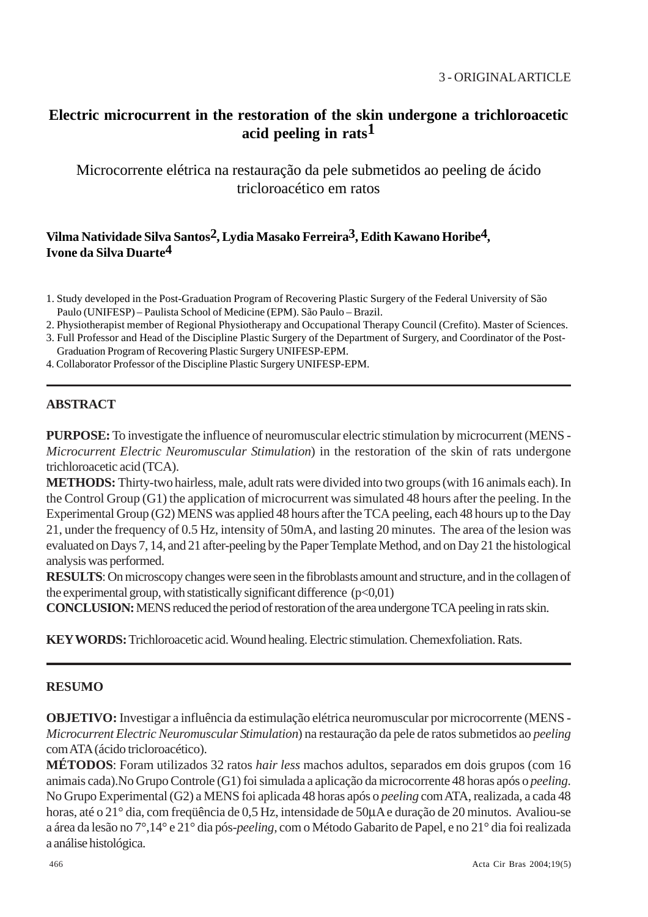# **Electric microcurrent in the restoration of the skin undergone a trichloroacetic acid peeling in rats1**

Microcorrente elétrica na restauração da pele submetidos ao peeling de ácido tricloroacético em ratos

## **Vilma Natividade Silva Santos2, Lydia Masako Ferreira3, Edith Kawano Horibe4, Ivone da Silva Duarte4**

- 1. Study developed in the Post-Graduation Program of Recovering Plastic Surgery of the Federal University of São Paulo (UNIFESP) – Paulista School of Medicine (EPM). São Paulo – Brazil.
- 2. Physiotherapist member of Regional Physiotherapy and Occupational Therapy Council (Crefito). Master of Sciences.
- 3. Full Professor and Head of the Discipline Plastic Surgery of the Department of Surgery, and Coordinator of the Post-Graduation Program of Recovering Plastic Surgery UNIFESP-EPM.
- 4. Collaborator Professor of the Discipline Plastic Surgery UNIFESP-EPM.

## **ABSTRACT**

**PURPOSE:** To investigate the influence of neuromuscular electric stimulation by microcurrent (MENS - *Microcurrent Electric Neuromuscular Stimulation*) in the restoration of the skin of rats undergone trichloroacetic acid (TCA).

**METHODS:** Thirty-two hairless, male, adult rats were divided into two groups (with 16 animals each). In the Control Group (G1) the application of microcurrent was simulated 48 hours after the peeling. In the Experimental Group (G2) MENS was applied 48 hours after the TCA peeling, each 48 hours up to the Day 21, under the frequency of 0.5 Hz, intensity of 50mA, and lasting 20 minutes. The area of the lesion was evaluated on Days 7, 14, and 21 after-peeling by the Paper Template Method, and on Day 21 the histological analysis was performed.

**RESULTS**: On microscopy changes were seen in the fibroblasts amount and structure, and in the collagen of the experimental group, with statistically significant difference  $(p<0.01)$ 

**CONCLUSION:** MENS reduced the period of restoration of the area undergone TCA peeling in rats skin.

**KEY WORDS:** Trichloroacetic acid. Wound healing. Electric stimulation. Chemexfoliation. Rats.

## **RESUMO**

**OBJETIVO:** Investigar a influência da estimulação elétrica neuromuscular por microcorrente (MENS - *Microcurrent Electric Neuromuscular Stimulation*) na restauração da pele de ratos submetidos ao *peeling* com ATA (ácido tricloroacético).

**MÉTODOS**: Foram utilizados 32 ratos *hair less* machos adultos, separados em dois grupos (com 16 animais cada).No Grupo Controle (G1) foi simulada a aplicação da microcorrente 48 horas após o *peeling*. No Grupo Experimental (G2) a MENS foi aplicada 48 horas após o *peeling* com ATA, realizada, a cada 48 horas, até o 21° dia, com freqüência de 0,5 Hz, intensidade de 50µA e duração de 20 minutos. Avaliou-se a área da lesão no 7°,14° e 21° dia pós-*peeling,* com o Método Gabarito de Papel, e no 21° dia foi realizada a análise histológica.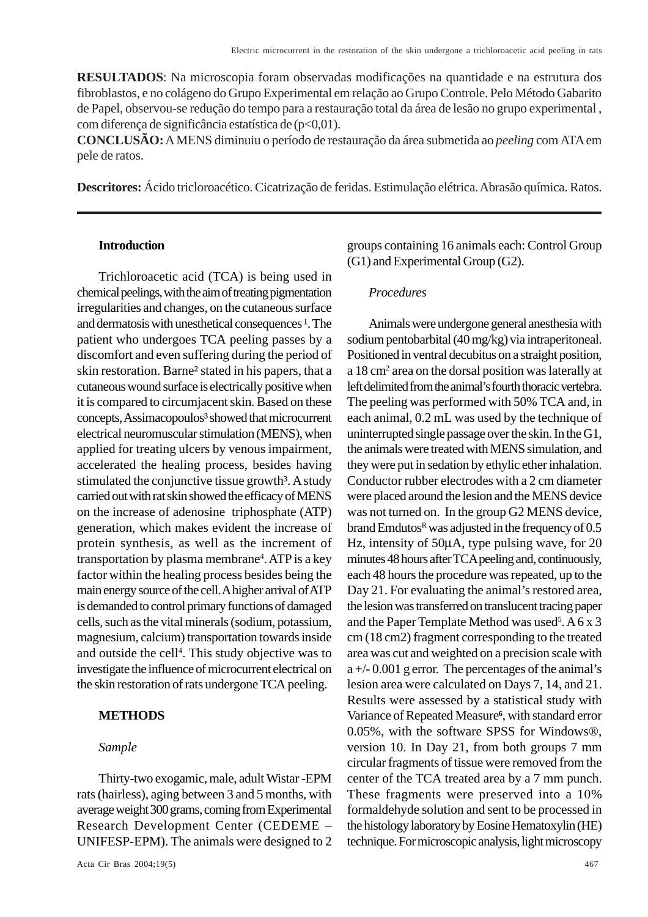**RESULTADOS**: Na microscopia foram observadas modificações na quantidade e na estrutura dos fibroblastos, e no colágeno do Grupo Experimental em relação ao Grupo Controle. Pelo Método Gabarito de Papel, observou-se redução do tempo para a restauração total da área de lesão no grupo experimental , com diferença de significância estatística de (p<0,01).

**CONCLUSÃO:** A MENS diminuiu o período de restauração da área submetida ao *peeling* com ATA em pele de ratos.

**Descritores:** Ácido tricloroacético. Cicatrização de feridas. Estimulação elétrica. Abrasão química. Ratos.

## **Introduction**

Trichloroacetic acid (TCA) is being used in chemical peelings, with the aim of treating pigmentation irregularities and changes, on the cutaneous surface and dermatosis with unesthetical consequences <sup>1</sup>. The patient who undergoes TCA peeling passes by a discomfort and even suffering during the period of skin restoration. Barne² stated in his papers, that a cutaneous wound surface is electrically positive when it is compared to circumjacent skin. Based on these concepts, Assimacopoulos<sup>3</sup> showed that microcurrent electrical neuromuscular stimulation (MENS), when applied for treating ulcers by venous impairment, accelerated the healing process, besides having stimulated the conjunctive tissue growth<sup>3</sup>. A study carried out with rat skin showed the efficacy of MENS on the increase of adenosine triphosphate (ATP) generation, which makes evident the increase of protein synthesis, as well as the increment of transportation by plasma membrane<sup>4</sup>. ATP is a key factor within the healing process besides being the main energy source of the cell. A higher arrival of ATP is demanded to control primary functions of damaged cells, such as the vital minerals (sodium, potassium, magnesium, calcium) transportation towards inside and outside the cell<sup>4</sup>. This study objective was to investigate the influence of microcurrent electrical on the skin restoration of rats undergone TCA peeling.

### **METHODS**

#### *Sample*

Thirty-two exogamic, male, adult Wistar -EPM rats (hairless), aging between 3 and 5 months, with average weight 300 grams, coming from Experimental Research Development Center (CEDEME – UNIFESP-EPM). The animals were designed to 2 groups containing 16 animals each: Control Group (G1) and Experimental Group (G2).

#### *Procedures*

Animals were undergone general anesthesia with sodium pentobarbital (40 mg/kg) via intraperitoneal. Positioned in ventral decubitus on a straight position, a 18 cm2 area on the dorsal position was laterally at left delimited from the animal's fourth thoracic vertebra. The peeling was performed with 50% TCA and, in each animal, 0.2 mL was used by the technique of uninterrupted single passage over the skin. In the G1, the animals were treated with MENS simulation, and they were put in sedation by ethylic ether inhalation. Conductor rubber electrodes with a 2 cm diameter were placed around the lesion and the MENS device was not turned on. In the group G2 MENS device, brand Emdutos $R$  was adjusted in the frequency of  $0.5$ Hz, intensity of 50µA, type pulsing wave, for 20 minutes 48 hours after TCA peeling and, continuously, each 48 hours the procedure was repeated, up to the Day 21. For evaluating the animal's restored area, the lesion was transferred on translucent tracing paper and the Paper Template Method was used<sup>5</sup>. A 6 x 3 cm (18 cm2) fragment corresponding to the treated area was cut and weighted on a precision scale with a +/- 0.001 g error. The percentages of the animal's lesion area were calculated on Days 7, 14, and 21. Results were assessed by a statistical study with Variance of Repeated Measure**<sup>6</sup>** , with standard error 0.05%, with the software SPSS for Windows®, version 10. In Day 21, from both groups 7 mm circular fragments of tissue were removed from the center of the TCA treated area by a 7 mm punch. These fragments were preserved into a 10% formaldehyde solution and sent to be processed in the histology laboratory by Eosine Hematoxylin (HE) technique. For microscopic analysis, light microscopy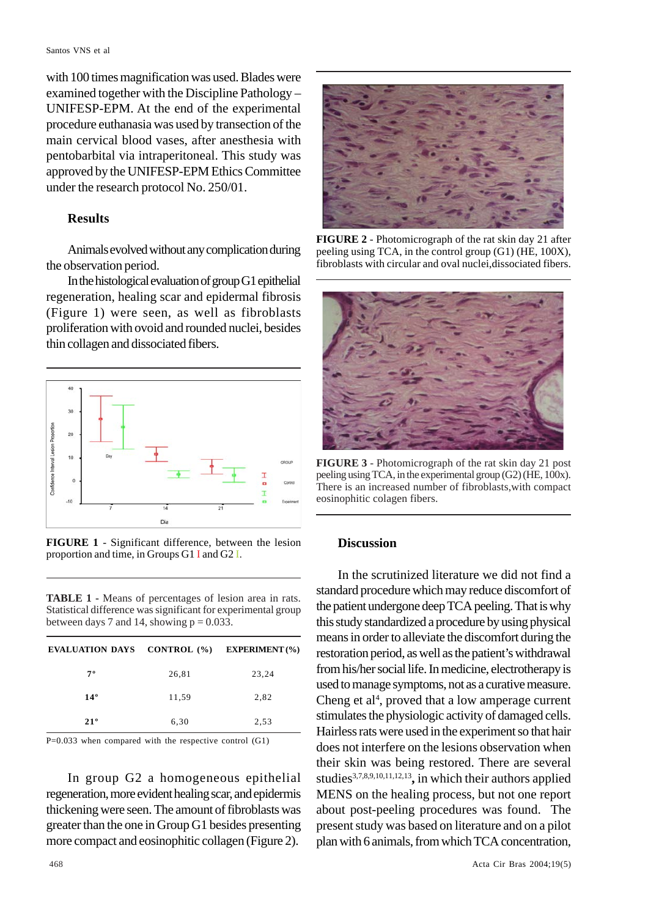with 100 times magnification was used. Blades were examined together with the Discipline Pathology – UNIFESP-EPM. At the end of the experimental procedure euthanasia was used by transection of the main cervical blood vases, after anesthesia with pentobarbital via intraperitoneal. This study was approved by the UNIFESP-EPM Ethics Committee under the research protocol No. 250/01.

### **Results**

Animals evolved without any complication during the observation period.

In the histological evaluation of group G1 epithelial regeneration, healing scar and epidermal fibrosis (Figure 1) were seen, as well as fibroblasts proliferation with ovoid and rounded nuclei, besides thin collagen and dissociated fibers.



**FIGURE 1** - Significant difference, between the lesion proportion and time, in Groups G1 I and G2 I.

**TABLE 1 -** Means of percentages of lesion area in rats. Statistical difference was significant for experimental group between days 7 and 14, showing  $p = 0.033$ .

| <b>EVALUATION DAYS</b> CONTROL (%) |       | <b>EXPERIMENT</b> (%) |
|------------------------------------|-------|-----------------------|
| 70                                 | 26,81 | 23,24                 |
| $14^{\circ}$                       | 11,59 | 2,82                  |
| 21°                                | 6,30  | 2,53                  |

 $P=0.033$  when compared with the respective control (G1)

In group G2 a homogeneous epithelial regeneration, more evident healing scar, and epidermis thickening were seen. The amount of fibroblasts was greater than the one in Group G1 besides presenting more compact and eosinophitic collagen (Figure 2).



**FIGURE 2** - Photomicrograph of the rat skin day 21 after peeling using TCA, in the control group (G1) (HE, 100X), fibroblasts with circular and oval nuclei,dissociated fibers.



**FIGURE 3** - Photomicrograph of the rat skin day 21 post peeling using TCA, in the experimental group (G2) (HE, 100x). There is an increased number of fibroblasts,with compact eosinophitic colagen fibers.

## **Discussion**

In the scrutinized literature we did not find a standard procedure which may reduce discomfort of the patient undergone deep TCA peeling. That is why this study standardized a procedure by using physical means in order to alleviate the discomfort during the restoration period, as well as the patient's withdrawal from his/her social life. In medicine, electrotherapy is used to manage symptoms, not as a curative measure. Cheng et al<sup>4</sup>, proved that a low amperage current stimulates the physiologic activity of damaged cells. Hairless rats were used in the experiment so that hair does not interfere on the lesions observation when their skin was being restored. There are several studies3,7,8,9,10,11,12,13**,** in which their authors applied MENS on the healing process, but not one report about post-peeling procedures was found. The present study was based on literature and on a pilot plan with 6 animals, from which TCA concentration,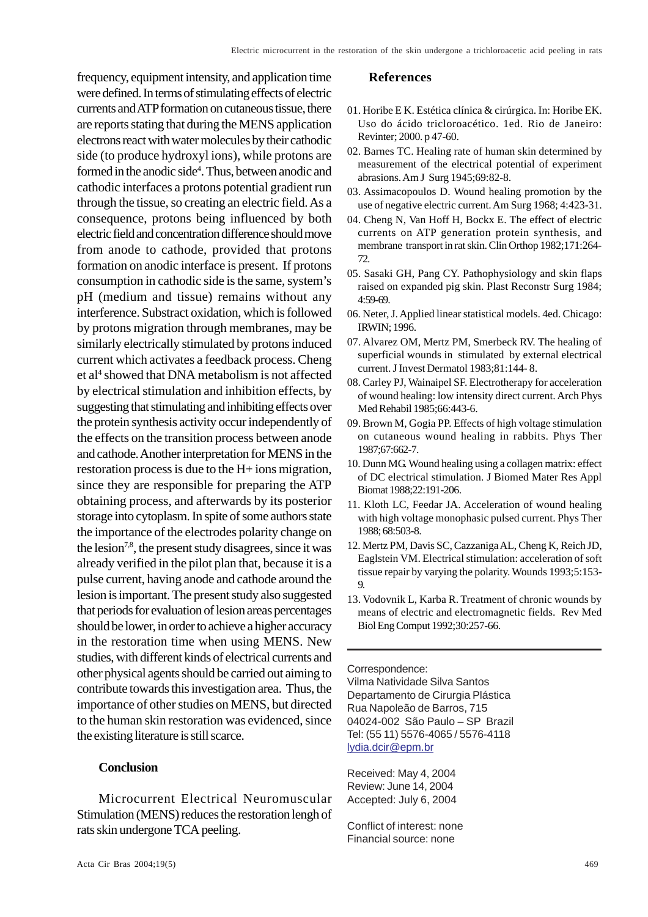frequency, equipment intensity, and application time were defined. In terms of stimulating effects of electric currents and ATP formation on cutaneous tissue, there are reports stating that during the MENS application electrons react with water molecules by their cathodic side (to produce hydroxyl ions), while protons are formed in the anodic side<sup>4</sup>. Thus, between anodic and cathodic interfaces a protons potential gradient run through the tissue, so creating an electric field. As a consequence, protons being influenced by both electric field and concentration difference should move from anode to cathode, provided that protons formation on anodic interface is present. If protons consumption in cathodic side is the same, system's pH (medium and tissue) remains without any interference. Substract oxidation, which is followed by protons migration through membranes, may be similarly electrically stimulated by protons induced current which activates a feedback process. Cheng et al<sup>4</sup> showed that DNA metabolism is not affected by electrical stimulation and inhibition effects, by suggesting that stimulating and inhibiting effects over the protein synthesis activity occur independently of the effects on the transition process between anode and cathode. Another interpretation for MENS in the restoration process is due to the H+ ions migration, since they are responsible for preparing the ATP obtaining process, and afterwards by its posterior storage into cytoplasm. In spite of some authors state the importance of the electrodes polarity change on the lesion<sup>7,8</sup>, the present study disagrees, since it was already verified in the pilot plan that, because it is a pulse current, having anode and cathode around the lesion is important. The present study also suggested that periods for evaluation of lesion areas percentages should be lower, in order to achieve a higher accuracy in the restoration time when using MENS. New studies, with different kinds of electrical currents and other physical agents should be carried out aiming to contribute towards this investigation area. Thus, the importance of other studies on MENS, but directed to the human skin restoration was evidenced, since the existing literature is still scarce.

## **Conclusion**

Microcurrent Electrical Neuromuscular Stimulation (MENS) reduces the restoration lengh of rats skin undergone TCA peeling.

#### **References**

- 01. Horibe E K. Estética clínica & cirúrgica. In: Horibe EK. Uso do ácido tricloroacético. 1ed. Rio de Janeiro: Revinter; 2000. p 47-60.
- 02. Barnes TC. Healing rate of human skin determined by measurement of the electrical potential of experiment abrasions. Am J Surg 1945;69:82-8.
- 03. Assimacopoulos D. Wound healing promotion by the use of negative electric current. Am Surg 1968; 4:423-31.
- 04. Cheng N, Van Hoff H, Bockx E. The effect of electric currents on ATP generation protein synthesis, and membrane transport in rat skin. Clin Orthop 1982;171:264- 72.
- 05. Sasaki GH, Pang CY. Pathophysiology and skin flaps raised on expanded pig skin. Plast Reconstr Surg 1984; 4:59-69.
- 06. Neter, J. Applied linear statistical models. 4ed. Chicago: IRWIN; 1996.
- 07. Alvarez OM, Mertz PM, Smerbeck RV. The healing of superficial wounds in stimulated by external electrical current. J Invest Dermatol 1983;81:144- 8.
- 08. Carley PJ, Wainaipel SF. Electrotherapy for acceleration of wound healing: low intensity direct current. Arch Phys Med Rehabil 1985;66:443-6.
- 09. Brown M, Gogia PP. Effects of high voltage stimulation on cutaneous wound healing in rabbits. Phys Ther 1987;67:662-7.
- 10. Dunn MG. Wound healing using a collagen matrix: effect of DC electrical stimulation. J Biomed Mater Res Appl Biomat 1988;22:191-206.
- 11. Kloth LC, Feedar JA. Acceleration of wound healing with high voltage monophasic pulsed current. Phys Ther 1988; 68:503-8.
- 12. Mertz PM, Davis SC, Cazzaniga AL, Cheng K, Reich JD, Eaglstein VM. Electrical stimulation: acceleration of soft tissue repair by varying the polarity. Wounds 1993;5:153- 9.
- 13. Vodovnik L, Karba R. Treatment of chronic wounds by means of electric and electromagnetic fields. Rev Med Biol Eng Comput 1992;30:257-66.

Correspondence: Vilma Natividade Silva Santos Departamento de Cirurgia Plástica Rua Napoleão de Barros, 715 04024-002 São Paulo – SP Brazil Tel: (55 11) 5576-4065 / 5576-4118 lydia.dcir@epm.br

Received: May 4, 2004 Review: June 14, 2004 Accepted: July 6, 2004

Conflict of interest: none Financial source: none